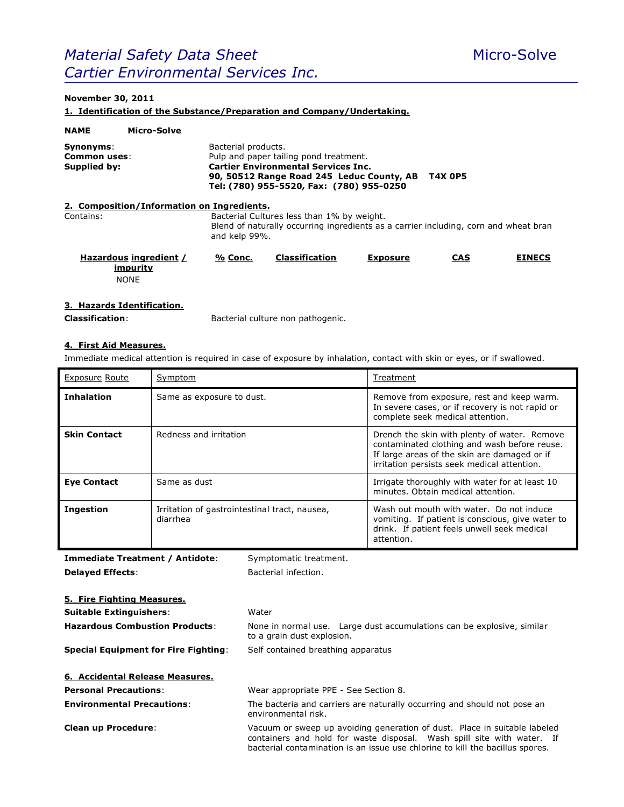# *Material Safety Data Sheet* Micro-Solve *Cartier Environmental Services Inc.*

# **November 30, 2011**

**1. Identification of the Substance/Preparation and Company/Undertaking.**

| <b>NAME</b>                               | Micro-Solve                                       |                     |                                                                                                                                                                               |                 |                |               |
|-------------------------------------------|---------------------------------------------------|---------------------|-------------------------------------------------------------------------------------------------------------------------------------------------------------------------------|-----------------|----------------|---------------|
| Synonyms:<br>Common uses:<br>Supplied by: |                                                   | Bacterial products. | Pulp and paper tailing pond treatment.<br><b>Cartier Environmental Services Inc.</b><br>90, 50512 Range Road 245 Leduc County, AB<br>Tel: (780) 955-5520, Fax: (780) 955-0250 |                 | <b>T4X 0P5</b> |               |
|                                           | 2. Composition/Information on Ingredients.        |                     |                                                                                                                                                                               |                 |                |               |
| Contains:                                 |                                                   | and kelp 99%.       | Bacterial Cultures less than 1% by weight.<br>Blend of naturally occurring ingredients as a carrier including, corn and wheat bran                                            |                 |                |               |
|                                           | Hazardous ingredient /<br>impurity<br><b>NONE</b> | % Conc.             | <b>Classification</b>                                                                                                                                                         | <b>Exposure</b> | <b>CAS</b>     | <b>EINECS</b> |

# **3. Hazards Identification.**

**Classification**: Bacterial culture non pathogenic.

# **4. First Aid Measures.**

Immediate medical attention is required in case of exposure by inhalation, contact with skin or eyes, or if swallowed.

| <b>Exposure Route</b> | Symptom                                                   | Treatment                                                                                                                                                                                   |
|-----------------------|-----------------------------------------------------------|---------------------------------------------------------------------------------------------------------------------------------------------------------------------------------------------|
| <b>Inhalation</b>     | Same as exposure to dust.                                 | Remove from exposure, rest and keep warm.<br>In severe cases, or if recovery is not rapid or<br>complete seek medical attention.                                                            |
| <b>Skin Contact</b>   | Redness and irritation                                    | Drench the skin with plenty of water. Remove<br>contaminated clothing and wash before reuse.<br>If large areas of the skin are damaged or if<br>irritation persists seek medical attention. |
| <b>Eye Contact</b>    | Same as dust                                              | Irrigate thoroughly with water for at least 10<br>minutes. Obtain medical attention.                                                                                                        |
| <b>Ingestion</b>      | Irritation of gastrointestinal tract, nausea,<br>diarrhea | Wash out mouth with water. Do not induce<br>vomiting. If patient is conscious, give water to<br>drink. If patient feels unwell seek medical<br>attention.                                   |

**Immediate Treatment / Antidote:** Symptomatic treatment. **Delayed Effects:** Bacterial infection.

| 5. Fire Fighting Measures.                  |                                                                                                                                                                                                                                      |
|---------------------------------------------|--------------------------------------------------------------------------------------------------------------------------------------------------------------------------------------------------------------------------------------|
| <b>Suitable Extinguishers:</b>              | Water                                                                                                                                                                                                                                |
| <b>Hazardous Combustion Products:</b>       | None in normal use. Large dust accumulations can be explosive, similar<br>to a grain dust explosion.                                                                                                                                 |
| <b>Special Equipment for Fire Fighting:</b> | Self contained breathing apparatus                                                                                                                                                                                                   |
| 6. Accidental Release Measures.             |                                                                                                                                                                                                                                      |
| <b>Personal Precautions:</b>                | Wear appropriate PPE - See Section 8.                                                                                                                                                                                                |
| <b>Environmental Precautions:</b>           | The bacteria and carriers are naturally occurring and should not pose an<br>environmental risk.                                                                                                                                      |
| <b>Clean up Procedure:</b>                  | Vacuum or sweep up avoiding generation of dust. Place in suitable labeled<br>containers and hold for waste disposal. Wash spill site with water. If<br>bacterial contamination is an issue use chlorine to kill the bacillus spores. |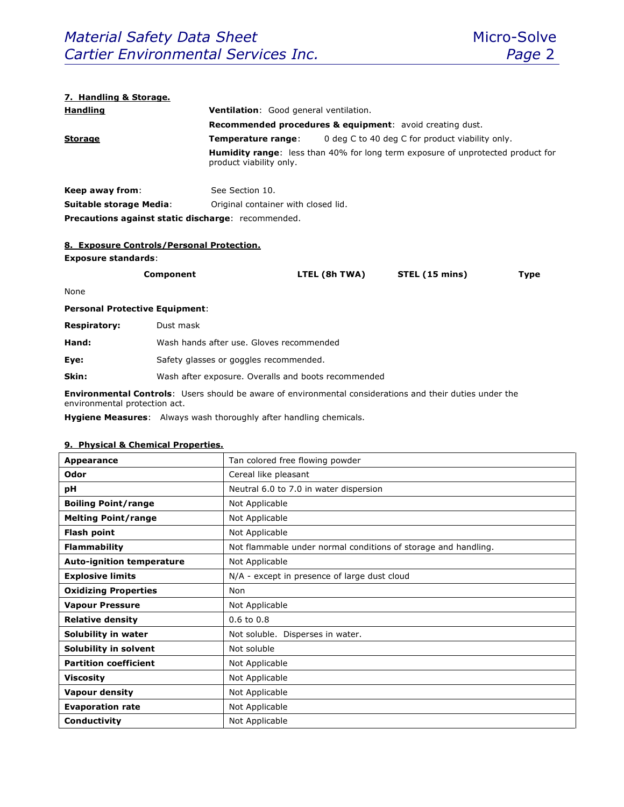## **7. Handling & Storage.**

| <b>Handling</b>                                           | <b>Ventilation:</b> Good general ventilation.                       |                                                                                        |  |  |
|-----------------------------------------------------------|---------------------------------------------------------------------|----------------------------------------------------------------------------------------|--|--|
|                                                           | <b>Recommended procedures &amp; equipment:</b> avoid creating dust. |                                                                                        |  |  |
| <b>Storage</b>                                            | Temperature range:                                                  | 0 deg C to 40 deg C for product viability only.                                        |  |  |
|                                                           | product viability only.                                             | <b>Humidity range:</b> less than 40% for long term exposure of unprotected product for |  |  |
| Keep away from:                                           | See Section 10.                                                     |                                                                                        |  |  |
| <b>Suitable storage Media:</b>                            | Original container with closed lid.                                 |                                                                                        |  |  |
| <b>Precautions against static discharge: recommended.</b> |                                                                     |                                                                                        |  |  |

## **8. Exposure Controls/Personal Protection.**

#### **Exposure standards**:

| Component | LTEL (8h TWA) | STEL (15 mins) | Type |
|-----------|---------------|----------------|------|
|           |               |                |      |

None

# **Personal Protective Equipment**:

| Hand:<br>Wash hands after use. Gloves recommended |  |
|---------------------------------------------------|--|
|---------------------------------------------------|--|

**Eye:** Safety glasses or goggles recommended.

**Skin:** Wash after exposure. Overalls and boots recommended

**Environmental Controls**: Users should be aware of environmental considerations and their duties under the environmental protection act.

**Hygiene Measures**: Always wash thoroughly after handling chemicals.

## **9. Physical & Chemical Properties.**

| Appearance                       | Tan colored free flowing powder                                |  |
|----------------------------------|----------------------------------------------------------------|--|
| Odor                             | Cereal like pleasant                                           |  |
| рH                               | Neutral 6.0 to 7.0 in water dispersion                         |  |
| <b>Boiling Point/range</b>       | Not Applicable                                                 |  |
| <b>Melting Point/range</b>       | Not Applicable                                                 |  |
| <b>Flash point</b>               | Not Applicable                                                 |  |
| <b>Flammability</b>              | Not flammable under normal conditions of storage and handling. |  |
| <b>Auto-ignition temperature</b> | Not Applicable                                                 |  |
| <b>Explosive limits</b>          | N/A - except in presence of large dust cloud                   |  |
| <b>Oxidizing Properties</b>      | Non                                                            |  |
| <b>Vapour Pressure</b>           | Not Applicable                                                 |  |
| <b>Relative density</b>          | $0.6$ to $0.8$                                                 |  |
| Solubility in water              | Not soluble. Disperses in water.                               |  |
| Solubility in solvent            | Not soluble                                                    |  |
| <b>Partition coefficient</b>     | Not Applicable                                                 |  |
| <b>Viscosity</b>                 | Not Applicable                                                 |  |
| <b>Vapour density</b>            | Not Applicable                                                 |  |
| <b>Evaporation rate</b>          | Not Applicable                                                 |  |
| Conductivity                     | Not Applicable                                                 |  |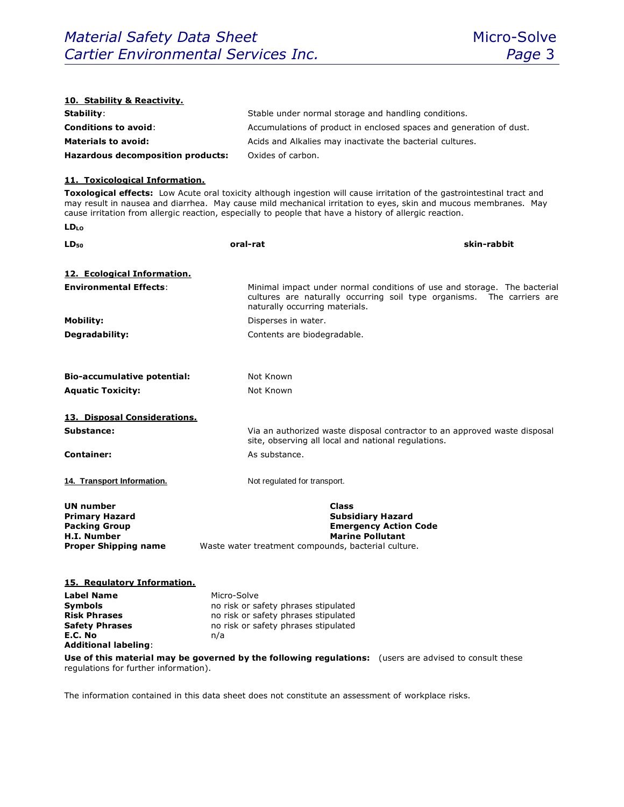| 10. Stability & Reactivity.                |                                                                                                                                                                                                                            |  |  |
|--------------------------------------------|----------------------------------------------------------------------------------------------------------------------------------------------------------------------------------------------------------------------------|--|--|
| Stability:                                 | Stable under normal storage and handling conditions.                                                                                                                                                                       |  |  |
| <b>Conditions to avoid:</b>                | Accumulations of product in enclosed spaces and generation of dust.                                                                                                                                                        |  |  |
| <b>Materials to avoid:</b>                 | Acids and Alkalies may inactivate the bacterial cultures.                                                                                                                                                                  |  |  |
| <b>Hazardous decomposition products:</b>   | Oxides of carbon.                                                                                                                                                                                                          |  |  |
|                                            |                                                                                                                                                                                                                            |  |  |
| 11. Toxicological Information.             | Toxological effects: Low Acute oral toxicity although ingestion will cause irritation of the gastrointestinal tract and                                                                                                    |  |  |
|                                            | may result in nausea and diarrhea. May cause mild mechanical irritation to eyes, skin and mucous membranes. May<br>cause irritation from allergic reaction, especially to people that have a history of allergic reaction. |  |  |
| <b>LD<sub>LO</sub></b>                     |                                                                                                                                                                                                                            |  |  |
| LD <sub>50</sub>                           | skin-rabbit<br>oral-rat                                                                                                                                                                                                    |  |  |
| 12. Ecological Information.                |                                                                                                                                                                                                                            |  |  |
| <b>Environmental Effects:</b>              | Minimal impact under normal conditions of use and storage. The bacterial<br>cultures are naturally occurring soil type organisms. The carriers are<br>naturally occurring materials.                                       |  |  |
| <b>Mobility:</b>                           | Disperses in water.                                                                                                                                                                                                        |  |  |
| Degradability:                             | Contents are biodegradable.                                                                                                                                                                                                |  |  |
|                                            |                                                                                                                                                                                                                            |  |  |
| <b>Bio-accumulative potential:</b>         | Not Known                                                                                                                                                                                                                  |  |  |
| <b>Aquatic Toxicity:</b>                   | Not Known                                                                                                                                                                                                                  |  |  |
|                                            |                                                                                                                                                                                                                            |  |  |
| 13. Disposal Considerations.               |                                                                                                                                                                                                                            |  |  |
| Substance:                                 | Via an authorized waste disposal contractor to an approved waste disposal<br>site, observing all local and national regulations.                                                                                           |  |  |
| <b>Container:</b>                          | As substance.                                                                                                                                                                                                              |  |  |
| 14. Transport Information.                 | Not regulated for transport.                                                                                                                                                                                               |  |  |
| <b>UN number</b>                           | <b>Class</b>                                                                                                                                                                                                               |  |  |
| <b>Primary Hazard</b>                      | <b>Subsidiary Hazard</b>                                                                                                                                                                                                   |  |  |
| <b>Packing Group</b><br><b>H.I. Number</b> | <b>Emergency Action Code</b><br><b>Marine Pollutant</b>                                                                                                                                                                    |  |  |
| <b>Proper Shipping name</b>                | Waste water treatment compounds, bacterial culture.                                                                                                                                                                        |  |  |
|                                            |                                                                                                                                                                                                                            |  |  |
| 15. Regulatory Information.                |                                                                                                                                                                                                                            |  |  |
| <b>Label Name</b>                          | Micro-Solve                                                                                                                                                                                                                |  |  |
| <b>Symbols</b><br><b>Risk Phrases</b>      | no risk or safety phrases stipulated<br>no risk or safety phrases stipulated                                                                                                                                               |  |  |
| <b>Safety Phrases</b>                      | no risk or safety phrases stipulated                                                                                                                                                                                       |  |  |
| E.C. No<br>n/a                             |                                                                                                                                                                                                                            |  |  |
| <b>Additional labeling:</b>                |                                                                                                                                                                                                                            |  |  |
| regulations for further information).      | Use of this material may be governed by the following regulations: (users are advised to consult these                                                                                                                     |  |  |

The information contained in this data sheet does not constitute an assessment of workplace risks.